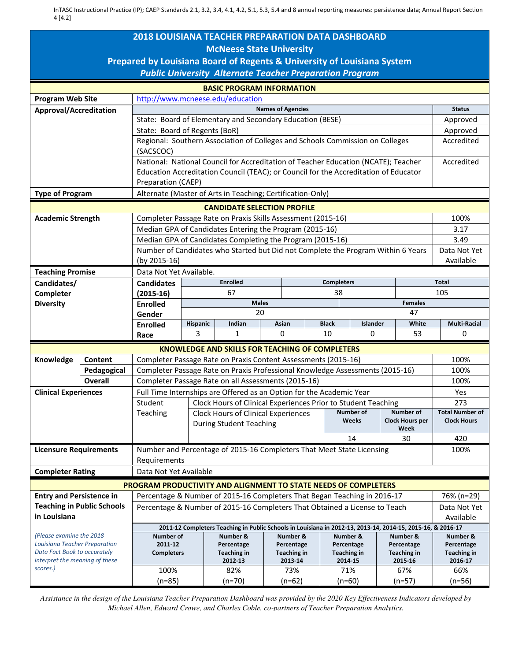InTASC Instructional Practice (IP); CAEP Standards 2.1, 3.2, 3.4, 4.1, 4.2, 5.1, 5.3, 5.4 and 8 annual reporting measures: persistence data; Annual Report Section 4 [4.2]

| <b>McNeese State University</b><br>Prepared by Louisiana Board of Regents & University of Louisiana System<br><b>Public University Alternate Teacher Preparation Program</b><br><b>BASIC PROGRAM INFORMATION</b><br><b>Program Web Site</b><br>http://www.mcneese.edu/education<br><b>Names of Agencies</b><br><b>Status</b><br>Approval/Accreditation<br>State: Board of Elementary and Secondary Education (BESE)<br>Approved<br>State: Board of Regents (BoR)<br>Approved<br>Regional: Southern Association of Colleges and Schools Commission on Colleges<br>Accredited<br>(SACSCOC)<br>National: National Council for Accreditation of Teacher Education (NCATE); Teacher<br>Accredited<br>Education Accreditation Council (TEAC); or Council for the Accreditation of Educator<br>Preparation (CAEP)<br>Alternate (Master of Arts in Teaching; Certification-Only)<br><b>Type of Program</b><br><b>CANDIDATE SELECTION PROFILE</b><br>100%<br><b>Academic Strength</b><br>Completer Passage Rate on Praxis Skills Assessment (2015-16)<br>Median GPA of Candidates Entering the Program (2015-16)<br>3.17<br>Median GPA of Candidates Completing the Program (2015-16)<br>3.49<br>Number of Candidates who Started but Did not Complete the Program Within 6 Years<br>Data Not Yet<br>Available<br>(by 2015-16)<br>Data Not Yet Available.<br><b>Teaching Promise</b><br><b>Enrolled</b><br><b>Completers</b><br><b>Total</b><br>Candidates/<br><b>Candidates</b><br>67<br>105<br>38<br>Completer<br>$(2015-16)$<br><b>Males</b><br><b>Females</b><br><b>Diversity</b><br><b>Enrolled</b><br>20<br>47<br>Gender<br><b>Multi-Racial</b><br>Indian<br>Asian<br><b>Black</b><br>Islander<br>White<br><b>Enrolled</b><br>Hispanic<br>3<br>0<br>10<br>0<br>53<br>1<br>0<br>Race<br><b>KNOWLEDGE AND SKILLS FOR TEACHING OF COMPLETERS</b><br>Knowledge<br>Completer Passage Rate on Praxis Content Assessments (2015-16)<br>100%<br>Content<br>Completer Passage Rate on Praxis Professional Knowledge Assessments (2015-16)<br>100%<br>Pedagogical<br><b>Overall</b><br>Completer Passage Rate on all Assessments (2015-16)<br>100%<br>Full Time Internships are Offered as an Option for the Academic Year<br><b>Clinical Experiences</b><br>Yes<br>Student   Clock Hours of Clinical Experiences Prior to Student Teaching<br>273<br>Number of<br>Number of<br><b>Total Number of</b><br>Teaching<br>Clock Hours of Clinical Experiences<br><b>Clock Hours</b><br>Weeks<br><b>Clock Hours per</b><br><b>During Student Teaching</b><br>Week<br>14<br>30<br>420<br>Number and Percentage of 2015-16 Completers That Meet State Licensing<br>100%<br><b>Licensure Requirements</b><br>Requirements<br>Data Not Yet Available<br><b>Completer Rating</b><br><b>PROGRAM PRODUCTIVITY AND ALIGNMENT TO STATE NEEDS OF COMPLETERS</b><br><b>Entry and Persistence in</b><br>Percentage & Number of 2015-16 Completers That Began Teaching in 2016-17<br>76% (n=29)<br><b>Teaching in Public Schools</b><br>Percentage & Number of 2015-16 Completers That Obtained a License to Teach<br>Data Not Yet<br>in Louisiana<br>Available<br>2011-12 Completers Teaching in Public Schools in Louisiana in 2012-13, 2013-14, 2014-15, 2015-16, & 2016-17<br>(Please examine the 2018<br><b>Number of</b><br>Number &<br>Number &<br>Number &<br>Number &<br>Number &<br>Louisiana Teacher Preparation<br>2011-12<br>Percentage<br>Percentage<br>Percentage<br>Percentage<br>Percentage<br>Data Fact Book to accurately<br><b>Completers</b><br>Teaching in<br><b>Teaching in</b><br><b>Teaching in</b><br><b>Teaching in</b><br><b>Teaching in</b><br>interpret the meaning of these<br>2012-13<br>2013-14<br>2014-15<br>2015-16<br>2016-17<br>scores.)<br>100%<br>82%<br>66%<br>73%<br>71%<br>67%<br>$(n=85)$<br>(n=70)<br>$(n=62)$<br>(n=60)<br>(n=57)<br>$(n=56)$ | <b>2018 LOUISIANA TEACHER PREPARATION DATA DASHBOARD</b> |  |  |  |  |  |  |  |  |  |  |  |
|-------------------------------------------------------------------------------------------------------------------------------------------------------------------------------------------------------------------------------------------------------------------------------------------------------------------------------------------------------------------------------------------------------------------------------------------------------------------------------------------------------------------------------------------------------------------------------------------------------------------------------------------------------------------------------------------------------------------------------------------------------------------------------------------------------------------------------------------------------------------------------------------------------------------------------------------------------------------------------------------------------------------------------------------------------------------------------------------------------------------------------------------------------------------------------------------------------------------------------------------------------------------------------------------------------------------------------------------------------------------------------------------------------------------------------------------------------------------------------------------------------------------------------------------------------------------------------------------------------------------------------------------------------------------------------------------------------------------------------------------------------------------------------------------------------------------------------------------------------------------------------------------------------------------------------------------------------------------------------------------------------------------------------------------------------------------------------------------------------------------------------------------------------------------------------------------------------------------------------------------------------------------------------------------------------------------------------------------------------------------------------------------------------------------------------------------------------------------------------------------------------------------------------------------------------------------------------------------------------------------------------------------------------------------------------------------------------------------------------------------------------------------------------------------------------------------------------------------------------------------------------------------------------------------------------------------------------------------------------------------------------------------------------------------------------------------------------------------------------------------------------------------------------------------------------------------------------------------------------------------------------------------------------------------------------------------------------------------------------------------------------------------------------------------------------------------------------------------------------------------------------------------------------------------------------------------------------------------------------------------------------------------------------------------------------------------------------------------------------------------------------------------------------------------------------------------------------------------------------------|----------------------------------------------------------|--|--|--|--|--|--|--|--|--|--|--|
|                                                                                                                                                                                                                                                                                                                                                                                                                                                                                                                                                                                                                                                                                                                                                                                                                                                                                                                                                                                                                                                                                                                                                                                                                                                                                                                                                                                                                                                                                                                                                                                                                                                                                                                                                                                                                                                                                                                                                                                                                                                                                                                                                                                                                                                                                                                                                                                                                                                                                                                                                                                                                                                                                                                                                                                                                                                                                                                                                                                                                                                                                                                                                                                                                                                                                                                                                                                                                                                                                                                                                                                                                                                                                                                                                                                                                                                             |                                                          |  |  |  |  |  |  |  |  |  |  |  |
|                                                                                                                                                                                                                                                                                                                                                                                                                                                                                                                                                                                                                                                                                                                                                                                                                                                                                                                                                                                                                                                                                                                                                                                                                                                                                                                                                                                                                                                                                                                                                                                                                                                                                                                                                                                                                                                                                                                                                                                                                                                                                                                                                                                                                                                                                                                                                                                                                                                                                                                                                                                                                                                                                                                                                                                                                                                                                                                                                                                                                                                                                                                                                                                                                                                                                                                                                                                                                                                                                                                                                                                                                                                                                                                                                                                                                                                             |                                                          |  |  |  |  |  |  |  |  |  |  |  |
|                                                                                                                                                                                                                                                                                                                                                                                                                                                                                                                                                                                                                                                                                                                                                                                                                                                                                                                                                                                                                                                                                                                                                                                                                                                                                                                                                                                                                                                                                                                                                                                                                                                                                                                                                                                                                                                                                                                                                                                                                                                                                                                                                                                                                                                                                                                                                                                                                                                                                                                                                                                                                                                                                                                                                                                                                                                                                                                                                                                                                                                                                                                                                                                                                                                                                                                                                                                                                                                                                                                                                                                                                                                                                                                                                                                                                                                             |                                                          |  |  |  |  |  |  |  |  |  |  |  |
|                                                                                                                                                                                                                                                                                                                                                                                                                                                                                                                                                                                                                                                                                                                                                                                                                                                                                                                                                                                                                                                                                                                                                                                                                                                                                                                                                                                                                                                                                                                                                                                                                                                                                                                                                                                                                                                                                                                                                                                                                                                                                                                                                                                                                                                                                                                                                                                                                                                                                                                                                                                                                                                                                                                                                                                                                                                                                                                                                                                                                                                                                                                                                                                                                                                                                                                                                                                                                                                                                                                                                                                                                                                                                                                                                                                                                                                             |                                                          |  |  |  |  |  |  |  |  |  |  |  |
|                                                                                                                                                                                                                                                                                                                                                                                                                                                                                                                                                                                                                                                                                                                                                                                                                                                                                                                                                                                                                                                                                                                                                                                                                                                                                                                                                                                                                                                                                                                                                                                                                                                                                                                                                                                                                                                                                                                                                                                                                                                                                                                                                                                                                                                                                                                                                                                                                                                                                                                                                                                                                                                                                                                                                                                                                                                                                                                                                                                                                                                                                                                                                                                                                                                                                                                                                                                                                                                                                                                                                                                                                                                                                                                                                                                                                                                             |                                                          |  |  |  |  |  |  |  |  |  |  |  |
|                                                                                                                                                                                                                                                                                                                                                                                                                                                                                                                                                                                                                                                                                                                                                                                                                                                                                                                                                                                                                                                                                                                                                                                                                                                                                                                                                                                                                                                                                                                                                                                                                                                                                                                                                                                                                                                                                                                                                                                                                                                                                                                                                                                                                                                                                                                                                                                                                                                                                                                                                                                                                                                                                                                                                                                                                                                                                                                                                                                                                                                                                                                                                                                                                                                                                                                                                                                                                                                                                                                                                                                                                                                                                                                                                                                                                                                             |                                                          |  |  |  |  |  |  |  |  |  |  |  |
|                                                                                                                                                                                                                                                                                                                                                                                                                                                                                                                                                                                                                                                                                                                                                                                                                                                                                                                                                                                                                                                                                                                                                                                                                                                                                                                                                                                                                                                                                                                                                                                                                                                                                                                                                                                                                                                                                                                                                                                                                                                                                                                                                                                                                                                                                                                                                                                                                                                                                                                                                                                                                                                                                                                                                                                                                                                                                                                                                                                                                                                                                                                                                                                                                                                                                                                                                                                                                                                                                                                                                                                                                                                                                                                                                                                                                                                             |                                                          |  |  |  |  |  |  |  |  |  |  |  |
|                                                                                                                                                                                                                                                                                                                                                                                                                                                                                                                                                                                                                                                                                                                                                                                                                                                                                                                                                                                                                                                                                                                                                                                                                                                                                                                                                                                                                                                                                                                                                                                                                                                                                                                                                                                                                                                                                                                                                                                                                                                                                                                                                                                                                                                                                                                                                                                                                                                                                                                                                                                                                                                                                                                                                                                                                                                                                                                                                                                                                                                                                                                                                                                                                                                                                                                                                                                                                                                                                                                                                                                                                                                                                                                                                                                                                                                             |                                                          |  |  |  |  |  |  |  |  |  |  |  |
|                                                                                                                                                                                                                                                                                                                                                                                                                                                                                                                                                                                                                                                                                                                                                                                                                                                                                                                                                                                                                                                                                                                                                                                                                                                                                                                                                                                                                                                                                                                                                                                                                                                                                                                                                                                                                                                                                                                                                                                                                                                                                                                                                                                                                                                                                                                                                                                                                                                                                                                                                                                                                                                                                                                                                                                                                                                                                                                                                                                                                                                                                                                                                                                                                                                                                                                                                                                                                                                                                                                                                                                                                                                                                                                                                                                                                                                             |                                                          |  |  |  |  |  |  |  |  |  |  |  |
|                                                                                                                                                                                                                                                                                                                                                                                                                                                                                                                                                                                                                                                                                                                                                                                                                                                                                                                                                                                                                                                                                                                                                                                                                                                                                                                                                                                                                                                                                                                                                                                                                                                                                                                                                                                                                                                                                                                                                                                                                                                                                                                                                                                                                                                                                                                                                                                                                                                                                                                                                                                                                                                                                                                                                                                                                                                                                                                                                                                                                                                                                                                                                                                                                                                                                                                                                                                                                                                                                                                                                                                                                                                                                                                                                                                                                                                             |                                                          |  |  |  |  |  |  |  |  |  |  |  |
|                                                                                                                                                                                                                                                                                                                                                                                                                                                                                                                                                                                                                                                                                                                                                                                                                                                                                                                                                                                                                                                                                                                                                                                                                                                                                                                                                                                                                                                                                                                                                                                                                                                                                                                                                                                                                                                                                                                                                                                                                                                                                                                                                                                                                                                                                                                                                                                                                                                                                                                                                                                                                                                                                                                                                                                                                                                                                                                                                                                                                                                                                                                                                                                                                                                                                                                                                                                                                                                                                                                                                                                                                                                                                                                                                                                                                                                             |                                                          |  |  |  |  |  |  |  |  |  |  |  |
|                                                                                                                                                                                                                                                                                                                                                                                                                                                                                                                                                                                                                                                                                                                                                                                                                                                                                                                                                                                                                                                                                                                                                                                                                                                                                                                                                                                                                                                                                                                                                                                                                                                                                                                                                                                                                                                                                                                                                                                                                                                                                                                                                                                                                                                                                                                                                                                                                                                                                                                                                                                                                                                                                                                                                                                                                                                                                                                                                                                                                                                                                                                                                                                                                                                                                                                                                                                                                                                                                                                                                                                                                                                                                                                                                                                                                                                             |                                                          |  |  |  |  |  |  |  |  |  |  |  |
|                                                                                                                                                                                                                                                                                                                                                                                                                                                                                                                                                                                                                                                                                                                                                                                                                                                                                                                                                                                                                                                                                                                                                                                                                                                                                                                                                                                                                                                                                                                                                                                                                                                                                                                                                                                                                                                                                                                                                                                                                                                                                                                                                                                                                                                                                                                                                                                                                                                                                                                                                                                                                                                                                                                                                                                                                                                                                                                                                                                                                                                                                                                                                                                                                                                                                                                                                                                                                                                                                                                                                                                                                                                                                                                                                                                                                                                             |                                                          |  |  |  |  |  |  |  |  |  |  |  |
|                                                                                                                                                                                                                                                                                                                                                                                                                                                                                                                                                                                                                                                                                                                                                                                                                                                                                                                                                                                                                                                                                                                                                                                                                                                                                                                                                                                                                                                                                                                                                                                                                                                                                                                                                                                                                                                                                                                                                                                                                                                                                                                                                                                                                                                                                                                                                                                                                                                                                                                                                                                                                                                                                                                                                                                                                                                                                                                                                                                                                                                                                                                                                                                                                                                                                                                                                                                                                                                                                                                                                                                                                                                                                                                                                                                                                                                             |                                                          |  |  |  |  |  |  |  |  |  |  |  |
|                                                                                                                                                                                                                                                                                                                                                                                                                                                                                                                                                                                                                                                                                                                                                                                                                                                                                                                                                                                                                                                                                                                                                                                                                                                                                                                                                                                                                                                                                                                                                                                                                                                                                                                                                                                                                                                                                                                                                                                                                                                                                                                                                                                                                                                                                                                                                                                                                                                                                                                                                                                                                                                                                                                                                                                                                                                                                                                                                                                                                                                                                                                                                                                                                                                                                                                                                                                                                                                                                                                                                                                                                                                                                                                                                                                                                                                             |                                                          |  |  |  |  |  |  |  |  |  |  |  |
|                                                                                                                                                                                                                                                                                                                                                                                                                                                                                                                                                                                                                                                                                                                                                                                                                                                                                                                                                                                                                                                                                                                                                                                                                                                                                                                                                                                                                                                                                                                                                                                                                                                                                                                                                                                                                                                                                                                                                                                                                                                                                                                                                                                                                                                                                                                                                                                                                                                                                                                                                                                                                                                                                                                                                                                                                                                                                                                                                                                                                                                                                                                                                                                                                                                                                                                                                                                                                                                                                                                                                                                                                                                                                                                                                                                                                                                             |                                                          |  |  |  |  |  |  |  |  |  |  |  |
|                                                                                                                                                                                                                                                                                                                                                                                                                                                                                                                                                                                                                                                                                                                                                                                                                                                                                                                                                                                                                                                                                                                                                                                                                                                                                                                                                                                                                                                                                                                                                                                                                                                                                                                                                                                                                                                                                                                                                                                                                                                                                                                                                                                                                                                                                                                                                                                                                                                                                                                                                                                                                                                                                                                                                                                                                                                                                                                                                                                                                                                                                                                                                                                                                                                                                                                                                                                                                                                                                                                                                                                                                                                                                                                                                                                                                                                             |                                                          |  |  |  |  |  |  |  |  |  |  |  |
|                                                                                                                                                                                                                                                                                                                                                                                                                                                                                                                                                                                                                                                                                                                                                                                                                                                                                                                                                                                                                                                                                                                                                                                                                                                                                                                                                                                                                                                                                                                                                                                                                                                                                                                                                                                                                                                                                                                                                                                                                                                                                                                                                                                                                                                                                                                                                                                                                                                                                                                                                                                                                                                                                                                                                                                                                                                                                                                                                                                                                                                                                                                                                                                                                                                                                                                                                                                                                                                                                                                                                                                                                                                                                                                                                                                                                                                             |                                                          |  |  |  |  |  |  |  |  |  |  |  |
|                                                                                                                                                                                                                                                                                                                                                                                                                                                                                                                                                                                                                                                                                                                                                                                                                                                                                                                                                                                                                                                                                                                                                                                                                                                                                                                                                                                                                                                                                                                                                                                                                                                                                                                                                                                                                                                                                                                                                                                                                                                                                                                                                                                                                                                                                                                                                                                                                                                                                                                                                                                                                                                                                                                                                                                                                                                                                                                                                                                                                                                                                                                                                                                                                                                                                                                                                                                                                                                                                                                                                                                                                                                                                                                                                                                                                                                             |                                                          |  |  |  |  |  |  |  |  |  |  |  |
|                                                                                                                                                                                                                                                                                                                                                                                                                                                                                                                                                                                                                                                                                                                                                                                                                                                                                                                                                                                                                                                                                                                                                                                                                                                                                                                                                                                                                                                                                                                                                                                                                                                                                                                                                                                                                                                                                                                                                                                                                                                                                                                                                                                                                                                                                                                                                                                                                                                                                                                                                                                                                                                                                                                                                                                                                                                                                                                                                                                                                                                                                                                                                                                                                                                                                                                                                                                                                                                                                                                                                                                                                                                                                                                                                                                                                                                             |                                                          |  |  |  |  |  |  |  |  |  |  |  |
|                                                                                                                                                                                                                                                                                                                                                                                                                                                                                                                                                                                                                                                                                                                                                                                                                                                                                                                                                                                                                                                                                                                                                                                                                                                                                                                                                                                                                                                                                                                                                                                                                                                                                                                                                                                                                                                                                                                                                                                                                                                                                                                                                                                                                                                                                                                                                                                                                                                                                                                                                                                                                                                                                                                                                                                                                                                                                                                                                                                                                                                                                                                                                                                                                                                                                                                                                                                                                                                                                                                                                                                                                                                                                                                                                                                                                                                             |                                                          |  |  |  |  |  |  |  |  |  |  |  |
|                                                                                                                                                                                                                                                                                                                                                                                                                                                                                                                                                                                                                                                                                                                                                                                                                                                                                                                                                                                                                                                                                                                                                                                                                                                                                                                                                                                                                                                                                                                                                                                                                                                                                                                                                                                                                                                                                                                                                                                                                                                                                                                                                                                                                                                                                                                                                                                                                                                                                                                                                                                                                                                                                                                                                                                                                                                                                                                                                                                                                                                                                                                                                                                                                                                                                                                                                                                                                                                                                                                                                                                                                                                                                                                                                                                                                                                             |                                                          |  |  |  |  |  |  |  |  |  |  |  |
|                                                                                                                                                                                                                                                                                                                                                                                                                                                                                                                                                                                                                                                                                                                                                                                                                                                                                                                                                                                                                                                                                                                                                                                                                                                                                                                                                                                                                                                                                                                                                                                                                                                                                                                                                                                                                                                                                                                                                                                                                                                                                                                                                                                                                                                                                                                                                                                                                                                                                                                                                                                                                                                                                                                                                                                                                                                                                                                                                                                                                                                                                                                                                                                                                                                                                                                                                                                                                                                                                                                                                                                                                                                                                                                                                                                                                                                             |                                                          |  |  |  |  |  |  |  |  |  |  |  |
|                                                                                                                                                                                                                                                                                                                                                                                                                                                                                                                                                                                                                                                                                                                                                                                                                                                                                                                                                                                                                                                                                                                                                                                                                                                                                                                                                                                                                                                                                                                                                                                                                                                                                                                                                                                                                                                                                                                                                                                                                                                                                                                                                                                                                                                                                                                                                                                                                                                                                                                                                                                                                                                                                                                                                                                                                                                                                                                                                                                                                                                                                                                                                                                                                                                                                                                                                                                                                                                                                                                                                                                                                                                                                                                                                                                                                                                             |                                                          |  |  |  |  |  |  |  |  |  |  |  |
|                                                                                                                                                                                                                                                                                                                                                                                                                                                                                                                                                                                                                                                                                                                                                                                                                                                                                                                                                                                                                                                                                                                                                                                                                                                                                                                                                                                                                                                                                                                                                                                                                                                                                                                                                                                                                                                                                                                                                                                                                                                                                                                                                                                                                                                                                                                                                                                                                                                                                                                                                                                                                                                                                                                                                                                                                                                                                                                                                                                                                                                                                                                                                                                                                                                                                                                                                                                                                                                                                                                                                                                                                                                                                                                                                                                                                                                             |                                                          |  |  |  |  |  |  |  |  |  |  |  |
|                                                                                                                                                                                                                                                                                                                                                                                                                                                                                                                                                                                                                                                                                                                                                                                                                                                                                                                                                                                                                                                                                                                                                                                                                                                                                                                                                                                                                                                                                                                                                                                                                                                                                                                                                                                                                                                                                                                                                                                                                                                                                                                                                                                                                                                                                                                                                                                                                                                                                                                                                                                                                                                                                                                                                                                                                                                                                                                                                                                                                                                                                                                                                                                                                                                                                                                                                                                                                                                                                                                                                                                                                                                                                                                                                                                                                                                             |                                                          |  |  |  |  |  |  |  |  |  |  |  |
|                                                                                                                                                                                                                                                                                                                                                                                                                                                                                                                                                                                                                                                                                                                                                                                                                                                                                                                                                                                                                                                                                                                                                                                                                                                                                                                                                                                                                                                                                                                                                                                                                                                                                                                                                                                                                                                                                                                                                                                                                                                                                                                                                                                                                                                                                                                                                                                                                                                                                                                                                                                                                                                                                                                                                                                                                                                                                                                                                                                                                                                                                                                                                                                                                                                                                                                                                                                                                                                                                                                                                                                                                                                                                                                                                                                                                                                             |                                                          |  |  |  |  |  |  |  |  |  |  |  |
|                                                                                                                                                                                                                                                                                                                                                                                                                                                                                                                                                                                                                                                                                                                                                                                                                                                                                                                                                                                                                                                                                                                                                                                                                                                                                                                                                                                                                                                                                                                                                                                                                                                                                                                                                                                                                                                                                                                                                                                                                                                                                                                                                                                                                                                                                                                                                                                                                                                                                                                                                                                                                                                                                                                                                                                                                                                                                                                                                                                                                                                                                                                                                                                                                                                                                                                                                                                                                                                                                                                                                                                                                                                                                                                                                                                                                                                             |                                                          |  |  |  |  |  |  |  |  |  |  |  |
|                                                                                                                                                                                                                                                                                                                                                                                                                                                                                                                                                                                                                                                                                                                                                                                                                                                                                                                                                                                                                                                                                                                                                                                                                                                                                                                                                                                                                                                                                                                                                                                                                                                                                                                                                                                                                                                                                                                                                                                                                                                                                                                                                                                                                                                                                                                                                                                                                                                                                                                                                                                                                                                                                                                                                                                                                                                                                                                                                                                                                                                                                                                                                                                                                                                                                                                                                                                                                                                                                                                                                                                                                                                                                                                                                                                                                                                             |                                                          |  |  |  |  |  |  |  |  |  |  |  |
|                                                                                                                                                                                                                                                                                                                                                                                                                                                                                                                                                                                                                                                                                                                                                                                                                                                                                                                                                                                                                                                                                                                                                                                                                                                                                                                                                                                                                                                                                                                                                                                                                                                                                                                                                                                                                                                                                                                                                                                                                                                                                                                                                                                                                                                                                                                                                                                                                                                                                                                                                                                                                                                                                                                                                                                                                                                                                                                                                                                                                                                                                                                                                                                                                                                                                                                                                                                                                                                                                                                                                                                                                                                                                                                                                                                                                                                             |                                                          |  |  |  |  |  |  |  |  |  |  |  |
|                                                                                                                                                                                                                                                                                                                                                                                                                                                                                                                                                                                                                                                                                                                                                                                                                                                                                                                                                                                                                                                                                                                                                                                                                                                                                                                                                                                                                                                                                                                                                                                                                                                                                                                                                                                                                                                                                                                                                                                                                                                                                                                                                                                                                                                                                                                                                                                                                                                                                                                                                                                                                                                                                                                                                                                                                                                                                                                                                                                                                                                                                                                                                                                                                                                                                                                                                                                                                                                                                                                                                                                                                                                                                                                                                                                                                                                             |                                                          |  |  |  |  |  |  |  |  |  |  |  |
|                                                                                                                                                                                                                                                                                                                                                                                                                                                                                                                                                                                                                                                                                                                                                                                                                                                                                                                                                                                                                                                                                                                                                                                                                                                                                                                                                                                                                                                                                                                                                                                                                                                                                                                                                                                                                                                                                                                                                                                                                                                                                                                                                                                                                                                                                                                                                                                                                                                                                                                                                                                                                                                                                                                                                                                                                                                                                                                                                                                                                                                                                                                                                                                                                                                                                                                                                                                                                                                                                                                                                                                                                                                                                                                                                                                                                                                             |                                                          |  |  |  |  |  |  |  |  |  |  |  |
|                                                                                                                                                                                                                                                                                                                                                                                                                                                                                                                                                                                                                                                                                                                                                                                                                                                                                                                                                                                                                                                                                                                                                                                                                                                                                                                                                                                                                                                                                                                                                                                                                                                                                                                                                                                                                                                                                                                                                                                                                                                                                                                                                                                                                                                                                                                                                                                                                                                                                                                                                                                                                                                                                                                                                                                                                                                                                                                                                                                                                                                                                                                                                                                                                                                                                                                                                                                                                                                                                                                                                                                                                                                                                                                                                                                                                                                             |                                                          |  |  |  |  |  |  |  |  |  |  |  |
|                                                                                                                                                                                                                                                                                                                                                                                                                                                                                                                                                                                                                                                                                                                                                                                                                                                                                                                                                                                                                                                                                                                                                                                                                                                                                                                                                                                                                                                                                                                                                                                                                                                                                                                                                                                                                                                                                                                                                                                                                                                                                                                                                                                                                                                                                                                                                                                                                                                                                                                                                                                                                                                                                                                                                                                                                                                                                                                                                                                                                                                                                                                                                                                                                                                                                                                                                                                                                                                                                                                                                                                                                                                                                                                                                                                                                                                             |                                                          |  |  |  |  |  |  |  |  |  |  |  |
|                                                                                                                                                                                                                                                                                                                                                                                                                                                                                                                                                                                                                                                                                                                                                                                                                                                                                                                                                                                                                                                                                                                                                                                                                                                                                                                                                                                                                                                                                                                                                                                                                                                                                                                                                                                                                                                                                                                                                                                                                                                                                                                                                                                                                                                                                                                                                                                                                                                                                                                                                                                                                                                                                                                                                                                                                                                                                                                                                                                                                                                                                                                                                                                                                                                                                                                                                                                                                                                                                                                                                                                                                                                                                                                                                                                                                                                             |                                                          |  |  |  |  |  |  |  |  |  |  |  |
|                                                                                                                                                                                                                                                                                                                                                                                                                                                                                                                                                                                                                                                                                                                                                                                                                                                                                                                                                                                                                                                                                                                                                                                                                                                                                                                                                                                                                                                                                                                                                                                                                                                                                                                                                                                                                                                                                                                                                                                                                                                                                                                                                                                                                                                                                                                                                                                                                                                                                                                                                                                                                                                                                                                                                                                                                                                                                                                                                                                                                                                                                                                                                                                                                                                                                                                                                                                                                                                                                                                                                                                                                                                                                                                                                                                                                                                             |                                                          |  |  |  |  |  |  |  |  |  |  |  |
|                                                                                                                                                                                                                                                                                                                                                                                                                                                                                                                                                                                                                                                                                                                                                                                                                                                                                                                                                                                                                                                                                                                                                                                                                                                                                                                                                                                                                                                                                                                                                                                                                                                                                                                                                                                                                                                                                                                                                                                                                                                                                                                                                                                                                                                                                                                                                                                                                                                                                                                                                                                                                                                                                                                                                                                                                                                                                                                                                                                                                                                                                                                                                                                                                                                                                                                                                                                                                                                                                                                                                                                                                                                                                                                                                                                                                                                             |                                                          |  |  |  |  |  |  |  |  |  |  |  |
|                                                                                                                                                                                                                                                                                                                                                                                                                                                                                                                                                                                                                                                                                                                                                                                                                                                                                                                                                                                                                                                                                                                                                                                                                                                                                                                                                                                                                                                                                                                                                                                                                                                                                                                                                                                                                                                                                                                                                                                                                                                                                                                                                                                                                                                                                                                                                                                                                                                                                                                                                                                                                                                                                                                                                                                                                                                                                                                                                                                                                                                                                                                                                                                                                                                                                                                                                                                                                                                                                                                                                                                                                                                                                                                                                                                                                                                             |                                                          |  |  |  |  |  |  |  |  |  |  |  |
|                                                                                                                                                                                                                                                                                                                                                                                                                                                                                                                                                                                                                                                                                                                                                                                                                                                                                                                                                                                                                                                                                                                                                                                                                                                                                                                                                                                                                                                                                                                                                                                                                                                                                                                                                                                                                                                                                                                                                                                                                                                                                                                                                                                                                                                                                                                                                                                                                                                                                                                                                                                                                                                                                                                                                                                                                                                                                                                                                                                                                                                                                                                                                                                                                                                                                                                                                                                                                                                                                                                                                                                                                                                                                                                                                                                                                                                             |                                                          |  |  |  |  |  |  |  |  |  |  |  |
|                                                                                                                                                                                                                                                                                                                                                                                                                                                                                                                                                                                                                                                                                                                                                                                                                                                                                                                                                                                                                                                                                                                                                                                                                                                                                                                                                                                                                                                                                                                                                                                                                                                                                                                                                                                                                                                                                                                                                                                                                                                                                                                                                                                                                                                                                                                                                                                                                                                                                                                                                                                                                                                                                                                                                                                                                                                                                                                                                                                                                                                                                                                                                                                                                                                                                                                                                                                                                                                                                                                                                                                                                                                                                                                                                                                                                                                             |                                                          |  |  |  |  |  |  |  |  |  |  |  |
|                                                                                                                                                                                                                                                                                                                                                                                                                                                                                                                                                                                                                                                                                                                                                                                                                                                                                                                                                                                                                                                                                                                                                                                                                                                                                                                                                                                                                                                                                                                                                                                                                                                                                                                                                                                                                                                                                                                                                                                                                                                                                                                                                                                                                                                                                                                                                                                                                                                                                                                                                                                                                                                                                                                                                                                                                                                                                                                                                                                                                                                                                                                                                                                                                                                                                                                                                                                                                                                                                                                                                                                                                                                                                                                                                                                                                                                             |                                                          |  |  |  |  |  |  |  |  |  |  |  |
|                                                                                                                                                                                                                                                                                                                                                                                                                                                                                                                                                                                                                                                                                                                                                                                                                                                                                                                                                                                                                                                                                                                                                                                                                                                                                                                                                                                                                                                                                                                                                                                                                                                                                                                                                                                                                                                                                                                                                                                                                                                                                                                                                                                                                                                                                                                                                                                                                                                                                                                                                                                                                                                                                                                                                                                                                                                                                                                                                                                                                                                                                                                                                                                                                                                                                                                                                                                                                                                                                                                                                                                                                                                                                                                                                                                                                                                             |                                                          |  |  |  |  |  |  |  |  |  |  |  |
|                                                                                                                                                                                                                                                                                                                                                                                                                                                                                                                                                                                                                                                                                                                                                                                                                                                                                                                                                                                                                                                                                                                                                                                                                                                                                                                                                                                                                                                                                                                                                                                                                                                                                                                                                                                                                                                                                                                                                                                                                                                                                                                                                                                                                                                                                                                                                                                                                                                                                                                                                                                                                                                                                                                                                                                                                                                                                                                                                                                                                                                                                                                                                                                                                                                                                                                                                                                                                                                                                                                                                                                                                                                                                                                                                                                                                                                             |                                                          |  |  |  |  |  |  |  |  |  |  |  |
|                                                                                                                                                                                                                                                                                                                                                                                                                                                                                                                                                                                                                                                                                                                                                                                                                                                                                                                                                                                                                                                                                                                                                                                                                                                                                                                                                                                                                                                                                                                                                                                                                                                                                                                                                                                                                                                                                                                                                                                                                                                                                                                                                                                                                                                                                                                                                                                                                                                                                                                                                                                                                                                                                                                                                                                                                                                                                                                                                                                                                                                                                                                                                                                                                                                                                                                                                                                                                                                                                                                                                                                                                                                                                                                                                                                                                                                             |                                                          |  |  |  |  |  |  |  |  |  |  |  |
|                                                                                                                                                                                                                                                                                                                                                                                                                                                                                                                                                                                                                                                                                                                                                                                                                                                                                                                                                                                                                                                                                                                                                                                                                                                                                                                                                                                                                                                                                                                                                                                                                                                                                                                                                                                                                                                                                                                                                                                                                                                                                                                                                                                                                                                                                                                                                                                                                                                                                                                                                                                                                                                                                                                                                                                                                                                                                                                                                                                                                                                                                                                                                                                                                                                                                                                                                                                                                                                                                                                                                                                                                                                                                                                                                                                                                                                             |                                                          |  |  |  |  |  |  |  |  |  |  |  |
|                                                                                                                                                                                                                                                                                                                                                                                                                                                                                                                                                                                                                                                                                                                                                                                                                                                                                                                                                                                                                                                                                                                                                                                                                                                                                                                                                                                                                                                                                                                                                                                                                                                                                                                                                                                                                                                                                                                                                                                                                                                                                                                                                                                                                                                                                                                                                                                                                                                                                                                                                                                                                                                                                                                                                                                                                                                                                                                                                                                                                                                                                                                                                                                                                                                                                                                                                                                                                                                                                                                                                                                                                                                                                                                                                                                                                                                             |                                                          |  |  |  |  |  |  |  |  |  |  |  |
|                                                                                                                                                                                                                                                                                                                                                                                                                                                                                                                                                                                                                                                                                                                                                                                                                                                                                                                                                                                                                                                                                                                                                                                                                                                                                                                                                                                                                                                                                                                                                                                                                                                                                                                                                                                                                                                                                                                                                                                                                                                                                                                                                                                                                                                                                                                                                                                                                                                                                                                                                                                                                                                                                                                                                                                                                                                                                                                                                                                                                                                                                                                                                                                                                                                                                                                                                                                                                                                                                                                                                                                                                                                                                                                                                                                                                                                             |                                                          |  |  |  |  |  |  |  |  |  |  |  |

*Assistance in the design of the Louisiana Teacher Preparation Dashboard was provided by the 2020 Key Effectiveness Indicators developed by Michael Allen, Edward Crowe, and Charles Coble, co-partners of Teacher Preparation Analytics.*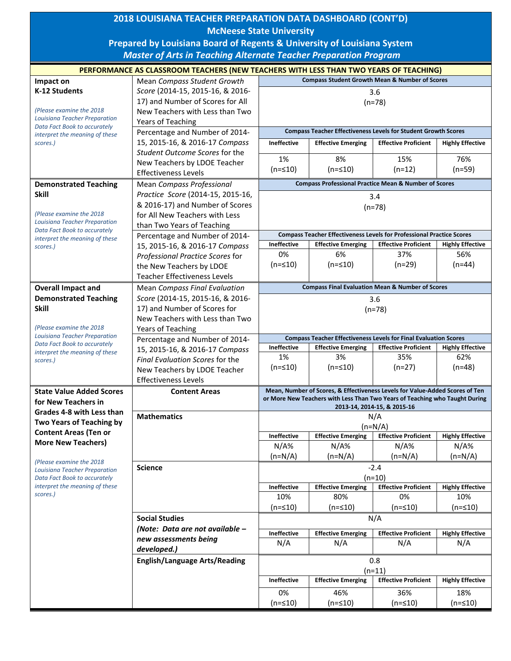|                                                                                                                                                    | 2018 LOUISIANA TEACHER PREPARATION DATA DASHBOARD (CONT'D)                            |                                                                                                                                                             |                                                                              |                                                           |                                |  |  |  |  |
|----------------------------------------------------------------------------------------------------------------------------------------------------|---------------------------------------------------------------------------------------|-------------------------------------------------------------------------------------------------------------------------------------------------------------|------------------------------------------------------------------------------|-----------------------------------------------------------|--------------------------------|--|--|--|--|
|                                                                                                                                                    | <b>McNeese State University</b>                                                       |                                                                                                                                                             |                                                                              |                                                           |                                |  |  |  |  |
|                                                                                                                                                    |                                                                                       |                                                                                                                                                             |                                                                              |                                                           |                                |  |  |  |  |
| Prepared by Louisiana Board of Regents & University of Louisiana System<br><b>Master of Arts in Teaching Alternate Teacher Preparation Program</b> |                                                                                       |                                                                                                                                                             |                                                                              |                                                           |                                |  |  |  |  |
|                                                                                                                                                    |                                                                                       |                                                                                                                                                             |                                                                              |                                                           |                                |  |  |  |  |
|                                                                                                                                                    | PERFORMANCE AS CLASSROOM TEACHERS (NEW TEACHERS WITH LESS THAN TWO YEARS OF TEACHING) |                                                                                                                                                             |                                                                              |                                                           |                                |  |  |  |  |
| Impact on                                                                                                                                          | Mean Compass Student Growth                                                           |                                                                                                                                                             |                                                                              | <b>Compass Student Growth Mean &amp; Number of Scores</b> |                                |  |  |  |  |
| K-12 Students                                                                                                                                      | Score (2014-15, 2015-16, & 2016-                                                      | 3.6<br>$(n=78)$<br><b>Compass Teacher Effectiveness Levels for Student Growth Scores</b>                                                                    |                                                                              |                                                           |                                |  |  |  |  |
| (Please examine the 2018                                                                                                                           | 17) and Number of Scores for All<br>New Teachers with Less than Two                   |                                                                                                                                                             |                                                                              |                                                           |                                |  |  |  |  |
| <b>Louisiana Teacher Preparation</b>                                                                                                               | <b>Years of Teaching</b>                                                              |                                                                                                                                                             |                                                                              |                                                           |                                |  |  |  |  |
| Data Fact Book to accurately                                                                                                                       | Percentage and Number of 2014-                                                        |                                                                                                                                                             |                                                                              |                                                           |                                |  |  |  |  |
| interpret the meaning of these<br>scores.)                                                                                                         | 15, 2015-16, & 2016-17 Compass                                                        | <b>Ineffective</b><br><b>Effective Emerging</b><br><b>Effective Proficient</b><br><b>Highly Effective</b>                                                   |                                                                              |                                                           |                                |  |  |  |  |
|                                                                                                                                                    | Student Outcome Scores for the                                                        |                                                                                                                                                             |                                                                              |                                                           |                                |  |  |  |  |
|                                                                                                                                                    | New Teachers by LDOE Teacher                                                          | 1%                                                                                                                                                          | 8%                                                                           | 15%                                                       | 76%                            |  |  |  |  |
|                                                                                                                                                    | <b>Effectiveness Levels</b>                                                           | $(n = 510)$                                                                                                                                                 | $(n = 510)$                                                                  | $(n=12)$                                                  | $(n=59)$                       |  |  |  |  |
| <b>Demonstrated Teaching</b>                                                                                                                       | <b>Mean Compass Professional</b>                                                      | <b>Compass Professional Practice Mean &amp; Number of Scores</b>                                                                                            |                                                                              |                                                           |                                |  |  |  |  |
| <b>Skill</b>                                                                                                                                       | Practice Score (2014-15, 2015-16,                                                     | 3.4<br>$(n=78)$                                                                                                                                             |                                                                              |                                                           |                                |  |  |  |  |
|                                                                                                                                                    | & 2016-17) and Number of Scores                                                       |                                                                                                                                                             |                                                                              |                                                           |                                |  |  |  |  |
| (Please examine the 2018)                                                                                                                          | for All New Teachers with Less                                                        |                                                                                                                                                             |                                                                              |                                                           |                                |  |  |  |  |
| Louisiana Teacher Preparation<br>Data Fact Book to accurately                                                                                      | than Two Years of Teaching                                                            |                                                                                                                                                             |                                                                              |                                                           |                                |  |  |  |  |
| interpret the meaning of these                                                                                                                     | Percentage and Number of 2014-                                                        |                                                                                                                                                             | <b>Compass Teacher Effectiveness Levels for Professional Practice Scores</b> |                                                           |                                |  |  |  |  |
| scores.)                                                                                                                                           | 15, 2015-16, & 2016-17 Compass                                                        | Ineffective<br>0%                                                                                                                                           | <b>Effective Emerging</b><br>6%                                              | <b>Effective Proficient</b><br>37%                        | <b>Highly Effective</b><br>56% |  |  |  |  |
|                                                                                                                                                    | Professional Practice Scores for                                                      | $(n = 510)$                                                                                                                                                 | $(n = 510)$                                                                  | $(n=29)$                                                  | $(n=44)$                       |  |  |  |  |
|                                                                                                                                                    | the New Teachers by LDOE<br><b>Teacher Effectiveness Levels</b>                       |                                                                                                                                                             |                                                                              |                                                           |                                |  |  |  |  |
|                                                                                                                                                    | <b>Mean Compass Final Evaluation</b>                                                  |                                                                                                                                                             | <b>Compass Final Evaluation Mean &amp; Number of Scores</b>                  |                                                           |                                |  |  |  |  |
| <b>Overall Impact and</b><br><b>Demonstrated Teaching</b>                                                                                          | Score (2014-15, 2015-16, & 2016-                                                      | 3.6<br>$(n=78)$                                                                                                                                             |                                                                              |                                                           |                                |  |  |  |  |
| <b>Skill</b>                                                                                                                                       | 17) and Number of Scores for                                                          |                                                                                                                                                             |                                                                              |                                                           |                                |  |  |  |  |
|                                                                                                                                                    | New Teachers with Less than Two                                                       |                                                                                                                                                             |                                                                              |                                                           |                                |  |  |  |  |
| (Please examine the 2018)                                                                                                                          | Years of Teaching                                                                     |                                                                                                                                                             |                                                                              |                                                           |                                |  |  |  |  |
| Louisiana Teacher Preparation                                                                                                                      | Percentage and Number of 2014-                                                        | <b>Compass Teacher Effectiveness Levels for Final Evaluation Scores</b>                                                                                     |                                                                              |                                                           |                                |  |  |  |  |
| Data Fact Book to accurately<br>interpret the meaning of these                                                                                     | 15, 2015-16, & 2016-17 Compass                                                        | <b>Ineffective</b>                                                                                                                                          | <b>Effective Emerging</b>                                                    | <b>Effective Proficient</b>                               | <b>Highly Effective</b>        |  |  |  |  |
| scores.)                                                                                                                                           | Final Evaluation Scores for the                                                       | 1%                                                                                                                                                          | 3%                                                                           | 35%                                                       | 62%                            |  |  |  |  |
|                                                                                                                                                    | New Teachers by LDOE Teacher                                                          | $(n = 510)$                                                                                                                                                 | $(n = 10)$                                                                   | $(n=27)$                                                  | (n=48)                         |  |  |  |  |
|                                                                                                                                                    | <b>Effectiveness Levels</b>                                                           |                                                                                                                                                             |                                                                              |                                                           |                                |  |  |  |  |
| <b>State Value Added Scores</b>                                                                                                                    | <b>Content Areas</b>                                                                  | Mean, Number of Scores, & Effectiveness Levels for Value-Added Scores of Ten<br>or More New Teachers with Less Than Two Years of Teaching who Taught During |                                                                              |                                                           |                                |  |  |  |  |
| for New Teachers in                                                                                                                                |                                                                                       | 2013-14, 2014-15, & 2015-16                                                                                                                                 |                                                                              |                                                           |                                |  |  |  |  |
| Grades 4-8 with Less than                                                                                                                          | <b>Mathematics</b>                                                                    | N/A<br>$(n=N/A)$                                                                                                                                            |                                                                              |                                                           |                                |  |  |  |  |
| Two Years of Teaching by<br><b>Content Areas (Ten or</b>                                                                                           |                                                                                       |                                                                                                                                                             |                                                                              |                                                           |                                |  |  |  |  |
| <b>More New Teachers)</b>                                                                                                                          |                                                                                       | Ineffective                                                                                                                                                 | <b>Effective Emerging</b>                                                    | <b>Effective Proficient</b>                               | <b>Highly Effective</b>        |  |  |  |  |
|                                                                                                                                                    |                                                                                       | $N/A\%$                                                                                                                                                     | $N/A\%$                                                                      | N/A%                                                      | $N/A\%$                        |  |  |  |  |
| (Please examine the 2018                                                                                                                           |                                                                                       | $(n=N/A)$                                                                                                                                                   | $(n=N/A)$                                                                    | $(n=N/A)$                                                 | $(n=N/A)$                      |  |  |  |  |
| <b>Louisiana Teacher Preparation</b>                                                                                                               | <b>Science</b>                                                                        | $-2.4$                                                                                                                                                      |                                                                              |                                                           |                                |  |  |  |  |
| Data Fact Book to accurately<br>interpret the meaning of these                                                                                     |                                                                                       | $(n=10)$<br><b>Effective Proficient</b><br>Ineffective<br><b>Effective Emerging</b><br><b>Highly Effective</b>                                              |                                                                              |                                                           |                                |  |  |  |  |
| scores.)                                                                                                                                           |                                                                                       | 10%                                                                                                                                                         | 80%                                                                          | 0%                                                        | 10%                            |  |  |  |  |
|                                                                                                                                                    |                                                                                       | $(n = 10)$                                                                                                                                                  | (n=≤10)                                                                      | (n=≤10)                                                   | $(n = 10)$                     |  |  |  |  |
|                                                                                                                                                    | <b>Social Studies</b>                                                                 | N/A                                                                                                                                                         |                                                                              |                                                           |                                |  |  |  |  |
|                                                                                                                                                    | (Note: Data are not available -                                                       | Ineffective                                                                                                                                                 |                                                                              | <b>Effective Proficient</b>                               |                                |  |  |  |  |
|                                                                                                                                                    | new assessments being                                                                 | N/A                                                                                                                                                         | <b>Effective Emerging</b><br>N/A                                             | N/A                                                       | <b>Highly Effective</b><br>N/A |  |  |  |  |
|                                                                                                                                                    | developed.)                                                                           |                                                                                                                                                             |                                                                              |                                                           |                                |  |  |  |  |
|                                                                                                                                                    | <b>English/Language Arts/Reading</b>                                                  | 0.8                                                                                                                                                         |                                                                              |                                                           |                                |  |  |  |  |
|                                                                                                                                                    |                                                                                       | $(n=11)$                                                                                                                                                    |                                                                              |                                                           |                                |  |  |  |  |
|                                                                                                                                                    |                                                                                       | <b>Ineffective</b>                                                                                                                                          | <b>Effective Emerging</b>                                                    | <b>Effective Proficient</b>                               | <b>Highly Effective</b>        |  |  |  |  |
|                                                                                                                                                    |                                                                                       | 0%                                                                                                                                                          | 46%                                                                          | 36%                                                       | 18%                            |  |  |  |  |
|                                                                                                                                                    |                                                                                       | $(n = 10)$                                                                                                                                                  | $(n = 510)$                                                                  | $(n=≤10)$                                                 | $(n = 10)$                     |  |  |  |  |